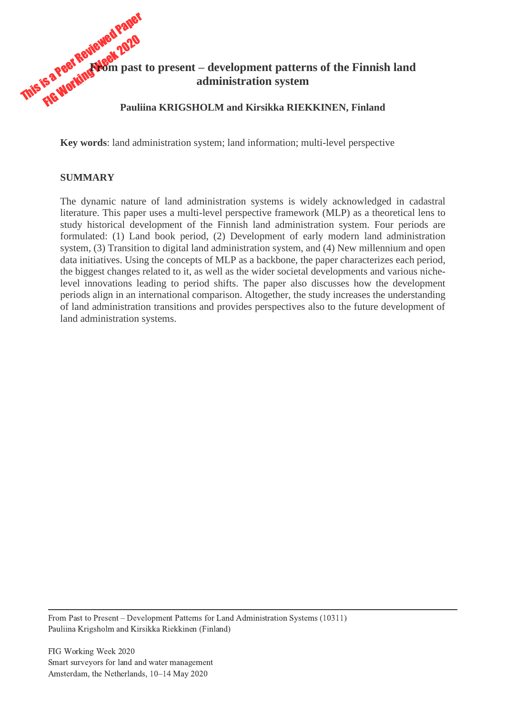

**Key words**: land administration system; land information; multi-level perspective

#### **SUMMARY**

The dynamic nature of land administration systems is widely acknowledged in cadastral literature. This paper uses a multi-level perspective framework (MLP) as a theoretical lens to study historical development of the Finnish land administration system. Four periods are formulated: (1) Land book period, (2) Development of early modern land administration system, (3) Transition to digital land administration system, and (4) New millennium and open data initiatives. Using the concepts of MLP as a backbone, the paper characterizes each period, the biggest changes related to it, as well as the wider societal developments and various nichelevel innovations leading to period shifts. The paper also discusses how the development periods align in an international comparison. Altogether, the study increases the understanding of land administration transitions and provides perspectives also to the future development of land administration systems.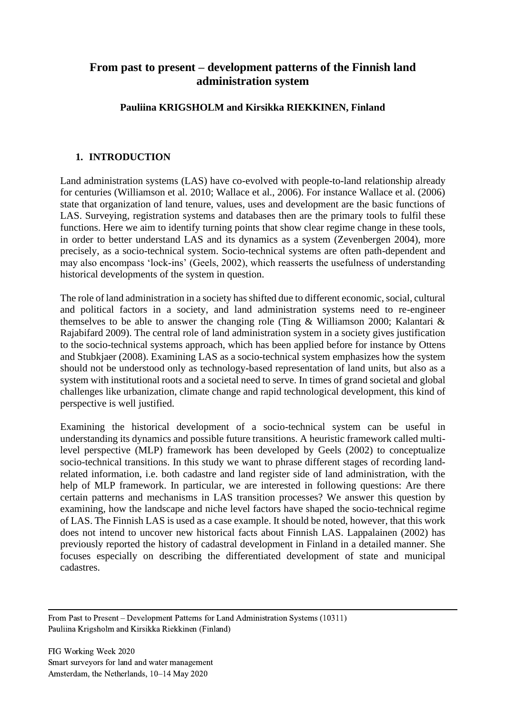# **From past to present – development patterns of the Finnish land administration system**

# **Pauliina KRIGSHOLM and Kirsikka RIEKKINEN, Finland**

# **1. INTRODUCTION**

Land administration systems (LAS) have co-evolved with people-to-land relationship already for centuries (Williamson et al. 2010; Wallace et al., 2006). For instance Wallace et al. (2006) state that organization of land tenure, values, uses and development are the basic functions of LAS. Surveying, registration systems and databases then are the primary tools to fulfil these functions. Here we aim to identify turning points that show clear regime change in these tools, in order to better understand LAS and its dynamics as a system (Zevenbergen 2004), more precisely, as a socio-technical system. Socio-technical systems are often path-dependent and may also encompass 'lock-ins' (Geels, 2002), which reasserts the usefulness of understanding historical developments of the system in question.

The role of land administration in a society has shifted due to different economic, social, cultural and political factors in a society, and land administration systems need to re-engineer themselves to be able to answer the changing role (Ting & Williamson 2000; Kalantari & Rajabifard 2009). The central role of land administration system in a society gives justification to the socio-technical systems approach, which has been applied before for instance by Ottens and Stubkjaer (2008). Examining LAS as a socio-technical system emphasizes how the system should not be understood only as technology-based representation of land units, but also as a system with institutional roots and a societal need to serve. In times of grand societal and global challenges like urbanization, climate change and rapid technological development, this kind of perspective is well justified.

Examining the historical development of a socio-technical system can be useful in understanding its dynamics and possible future transitions. A heuristic framework called multilevel perspective (MLP) framework has been developed by Geels (2002) to conceptualize socio-technical transitions. In this study we want to phrase different stages of recording landrelated information, i.e. both cadastre and land register side of land administration, with the help of MLP framework. In particular, we are interested in following questions: Are there certain patterns and mechanisms in LAS transition processes? We answer this question by examining, how the landscape and niche level factors have shaped the socio-technical regime of LAS. The Finnish LAS is used as a case example. It should be noted, however, that this work does not intend to uncover new historical facts about Finnish LAS. Lappalainen (2002) has previously reported the history of cadastral development in Finland in a detailed manner. She focuses especially on describing the differentiated development of state and municipal cadastres.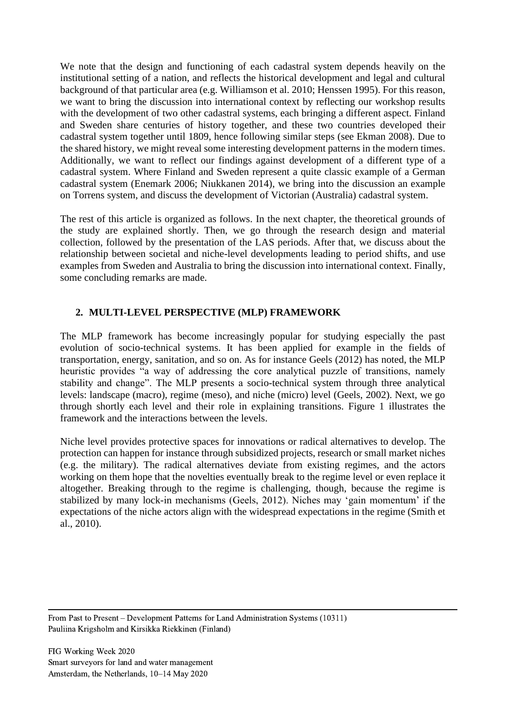We note that the design and functioning of each cadastral system depends heavily on the institutional setting of a nation, and reflects the historical development and legal and cultural background of that particular area (e.g. Williamson et al. 2010; Henssen 1995). For this reason, we want to bring the discussion into international context by reflecting our workshop results with the development of two other cadastral systems, each bringing a different aspect. Finland and Sweden share centuries of history together, and these two countries developed their cadastral system together until 1809, hence following similar steps (see Ekman 2008). Due to the shared history, we might reveal some interesting development patterns in the modern times. Additionally, we want to reflect our findings against development of a different type of a cadastral system. Where Finland and Sweden represent a quite classic example of a German cadastral system (Enemark 2006; Niukkanen 2014), we bring into the discussion an example on Torrens system, and discuss the development of Victorian (Australia) cadastral system.

The rest of this article is organized as follows. In the next chapter, the theoretical grounds of the study are explained shortly. Then, we go through the research design and material collection, followed by the presentation of the LAS periods. After that, we discuss about the relationship between societal and niche-level developments leading to period shifts, and use examples from Sweden and Australia to bring the discussion into international context. Finally, some concluding remarks are made.

# **2. MULTI-LEVEL PERSPECTIVE (MLP) FRAMEWORK**

The MLP framework has become increasingly popular for studying especially the past evolution of socio-technical systems. It has been applied for example in the fields of transportation, energy, sanitation, and so on. As for instance Geels (2012) has noted, the MLP heuristic provides "a way of addressing the core analytical puzzle of transitions, namely stability and change". The MLP presents a socio-technical system through three analytical levels: landscape (macro), regime (meso), and niche (micro) level (Geels, 2002). Next, we go through shortly each level and their role in explaining transitions. Figure 1 illustrates the framework and the interactions between the levels.

Niche level provides protective spaces for innovations or radical alternatives to develop. The protection can happen for instance through subsidized projects, research or small market niches (e.g. the military). The radical alternatives deviate from existing regimes, and the actors working on them hope that the novelties eventually break to the regime level or even replace it altogether. Breaking through to the regime is challenging, though, because the regime is stabilized by many lock-in mechanisms (Geels, 2012). Niches may 'gain momentum' if the expectations of the niche actors align with the widespread expectations in the regime (Smith et al., 2010).

From Past to Present – Development Patterns for Land Administration Systems (10311) Pauliina Krigsholm and Kirsikka Riekkinen (Finland)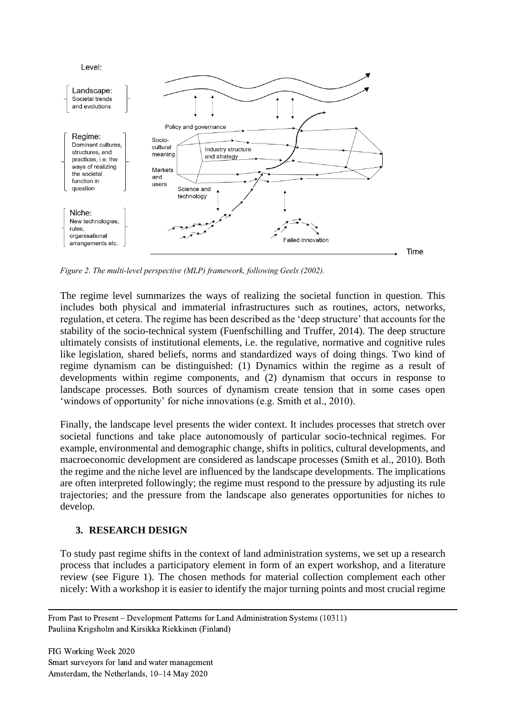

*Figure 2. The multi-level perspective (MLP) framework, following Geels (2002).*

The regime level summarizes the ways of realizing the societal function in question. This includes both physical and immaterial infrastructures such as routines, actors, networks, regulation, et cetera. The regime has been described as the 'deep structure' that accounts for the stability of the socio-technical system (Fuenfschilling and Truffer, 2014). The deep structure ultimately consists of institutional elements, i.e. the regulative, normative and cognitive rules like legislation, shared beliefs, norms and standardized ways of doing things. Two kind of regime dynamism can be distinguished: (1) Dynamics within the regime as a result of developments within regime components, and (2) dynamism that occurs in response to landscape processes. Both sources of dynamism create tension that in some cases open 'windows of opportunity' for niche innovations (e.g. Smith et al., 2010).

Finally, the landscape level presents the wider context. It includes processes that stretch over societal functions and take place autonomously of particular socio-technical regimes. For example, environmental and demographic change, shifts in politics, cultural developments, and macroeconomic development are considered as landscape processes (Smith et al., 2010). Both the regime and the niche level are influenced by the landscape developments. The implications are often interpreted followingly; the regime must respond to the pressure by adjusting its rule trajectories; and the pressure from the landscape also generates opportunities for niches to develop.

#### **3. RESEARCH DESIGN**

To study past regime shifts in the context of land administration systems, we set up a research process that includes a participatory element in form of an expert workshop, and a literature review (see Figure 1). The chosen methods for material collection complement each other nicely: With a workshop it is easier to identify the major turning points and most crucial regime

From Past to Present – Development Patterns for Land Administration Systems (10311) Pauliina Krigsholm and Kirsikka Riekkinen (Finland)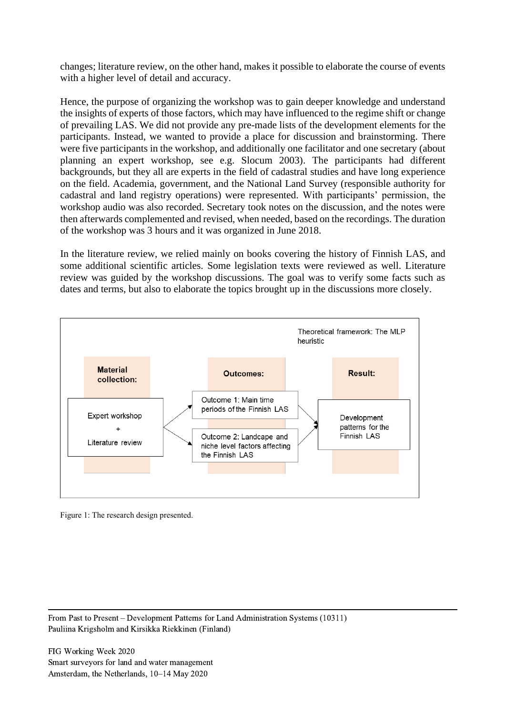changes; literature review, on the other hand, makes it possible to elaborate the course of events with a higher level of detail and accuracy.

Hence, the purpose of organizing the workshop was to gain deeper knowledge and understand the insights of experts of those factors, which may have influenced to the regime shift or change of prevailing LAS. We did not provide any pre-made lists of the development elements for the participants. Instead, we wanted to provide a place for discussion and brainstorming. There were five participants in the workshop, and additionally one facilitator and one secretary (about planning an expert workshop, see e.g. Slocum 2003). The participants had different backgrounds, but they all are experts in the field of cadastral studies and have long experience on the field. Academia, government, and the National Land Survey (responsible authority for cadastral and land registry operations) were represented. With participants' permission, the workshop audio was also recorded. Secretary took notes on the discussion, and the notes were then afterwards complemented and revised, when needed, based on the recordings. The duration of the workshop was 3 hours and it was organized in June 2018.

In the literature review, we relied mainly on books covering the history of Finnish LAS, and some additional scientific articles. Some legislation texts were reviewed as well. Literature review was guided by the workshop discussions. The goal was to verify some facts such as dates and terms, but also to elaborate the topics brought up in the discussions more closely.



Figure 1: The research design presented.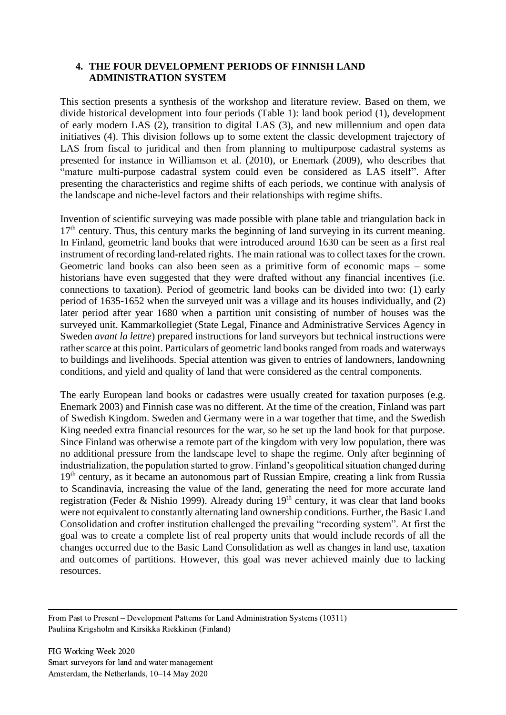#### **4. THE FOUR DEVELOPMENT PERIODS OF FINNISH LAND ADMINISTRATION SYSTEM**

This section presents a synthesis of the workshop and literature review. Based on them, we divide historical development into four periods (Table 1): land book period (1), development of early modern LAS (2), transition to digital LAS (3), and new millennium and open data initiatives (4). This division follows up to some extent the classic development trajectory of LAS from fiscal to juridical and then from planning to multipurpose cadastral systems as presented for instance in Williamson et al. (2010), or Enemark (2009), who describes that "mature multi-purpose cadastral system could even be considered as LAS itself". After presenting the characteristics and regime shifts of each periods, we continue with analysis of the landscape and niche-level factors and their relationships with regime shifts.

Invention of scientific surveying was made possible with plane table and triangulation back in  $17<sup>th</sup>$  century. Thus, this century marks the beginning of land surveying in its current meaning. In Finland, geometric land books that were introduced around 1630 can be seen as a first real instrument of recording land-related rights. The main rational was to collect taxes for the crown. Geometric land books can also been seen as a primitive form of economic maps – some historians have even suggested that they were drafted without any financial incentives (i.e. connections to taxation). Period of geometric land books can be divided into two: (1) early period of 1635-1652 when the surveyed unit was a village and its houses individually, and (2) later period after year 1680 when a partition unit consisting of number of houses was the surveyed unit. Kammarkollegiet (State Legal, Finance and Administrative Services Agency in Sweden *avant la lettre*) prepared instructions for land surveyors but technical instructions were rather scarce at this point. Particulars of geometric land books ranged from roads and waterways to buildings and livelihoods. Special attention was given to entries of landowners, landowning conditions, and yield and quality of land that were considered as the central components.

The early European land books or cadastres were usually created for taxation purposes (e.g. Enemark 2003) and Finnish case was no different. At the time of the creation, Finland was part of Swedish Kingdom. Sweden and Germany were in a war together that time, and the Swedish King needed extra financial resources for the war, so he set up the land book for that purpose. Since Finland was otherwise a remote part of the kingdom with very low population, there was no additional pressure from the landscape level to shape the regime. Only after beginning of industrialization, the population started to grow. Finland's geopolitical situation changed during 19<sup>th</sup> century, as it became an autonomous part of Russian Empire, creating a link from Russia to Scandinavia, increasing the value of the land, generating the need for more accurate land registration (Feder & Nishio 1999). Already during  $19<sup>th</sup>$  century, it was clear that land books were not equivalent to constantly alternating land ownership conditions. Further, the Basic Land Consolidation and crofter institution challenged the prevailing "recording system". At first the goal was to create a complete list of real property units that would include records of all the changes occurred due to the Basic Land Consolidation as well as changes in land use, taxation and outcomes of partitions. However, this goal was never achieved mainly due to lacking resources.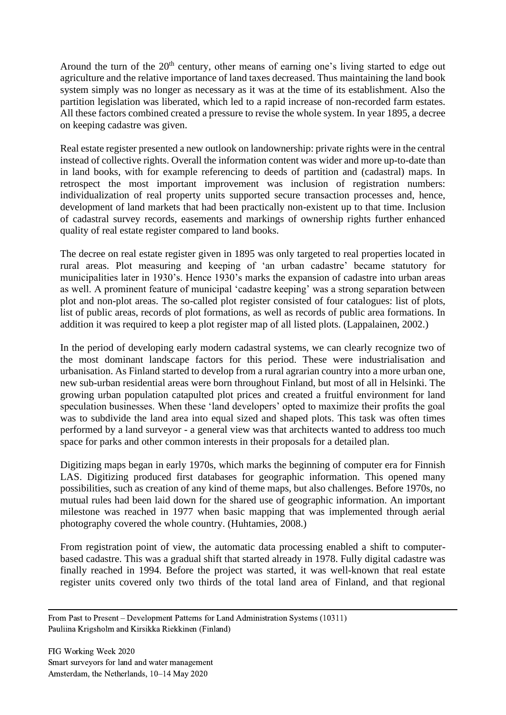Around the turn of the 20<sup>th</sup> century, other means of earning one's living started to edge out agriculture and the relative importance of land taxes decreased. Thus maintaining the land book system simply was no longer as necessary as it was at the time of its establishment. Also the partition legislation was liberated, which led to a rapid increase of non-recorded farm estates. All these factors combined created a pressure to revise the whole system. In year 1895, a decree on keeping cadastre was given.

Real estate register presented a new outlook on landownership: private rights were in the central instead of collective rights. Overall the information content was wider and more up-to-date than in land books, with for example referencing to deeds of partition and (cadastral) maps. In retrospect the most important improvement was inclusion of registration numbers: individualization of real property units supported secure transaction processes and, hence, development of land markets that had been practically non-existent up to that time. Inclusion of cadastral survey records, easements and markings of ownership rights further enhanced quality of real estate register compared to land books.

The decree on real estate register given in 1895 was only targeted to real properties located in rural areas. Plot measuring and keeping of 'an urban cadastre' became statutory for municipalities later in 1930's. Hence 1930's marks the expansion of cadastre into urban areas as well. A prominent feature of municipal 'cadastre keeping' was a strong separation between plot and non-plot areas. The so-called plot register consisted of four catalogues: list of plots, list of public areas, records of plot formations, as well as records of public area formations. In addition it was required to keep a plot register map of all listed plots. (Lappalainen, 2002.)

In the period of developing early modern cadastral systems, we can clearly recognize two of the most dominant landscape factors for this period. These were industrialisation and urbanisation. As Finland started to develop from a rural agrarian country into a more urban one, new sub-urban residential areas were born throughout Finland, but most of all in Helsinki. The growing urban population catapulted plot prices and created a fruitful environment for land speculation businesses. When these 'land developers' opted to maximize their profits the goal was to subdivide the land area into equal sized and shaped plots. This task was often times performed by a land surveyor - a general view was that architects wanted to address too much space for parks and other common interests in their proposals for a detailed plan.

Digitizing maps began in early 1970s, which marks the beginning of computer era for Finnish LAS. Digitizing produced first databases for geographic information. This opened many possibilities, such as creation of any kind of theme maps, but also challenges. Before 1970s, no mutual rules had been laid down for the shared use of geographic information. An important milestone was reached in 1977 when basic mapping that was implemented through aerial photography covered the whole country. (Huhtamies, 2008.)

From registration point of view, the automatic data processing enabled a shift to computerbased cadastre. This was a gradual shift that started already in 1978. Fully digital cadastre was finally reached in 1994. Before the project was started, it was well-known that real estate register units covered only two thirds of the total land area of Finland, and that regional

From Past to Present – Development Patterns for Land Administration Systems (10311) Pauliina Krigsholm and Kirsikka Riekkinen (Finland)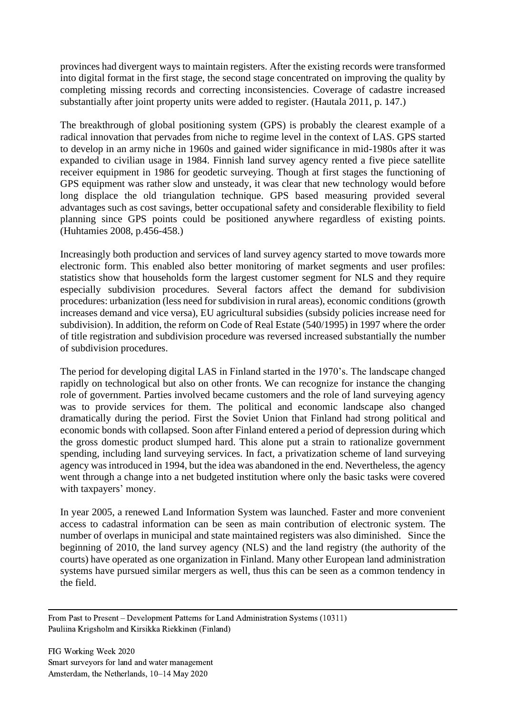provinces had divergent ways to maintain registers. After the existing records were transformed into digital format in the first stage, the second stage concentrated on improving the quality by completing missing records and correcting inconsistencies. Coverage of cadastre increased substantially after joint property units were added to register. (Hautala 2011, p. 147.)

The breakthrough of global positioning system (GPS) is probably the clearest example of a radical innovation that pervades from niche to regime level in the context of LAS. GPS started to develop in an army niche in 1960s and gained wider significance in mid-1980s after it was expanded to civilian usage in 1984. Finnish land survey agency rented a five piece satellite receiver equipment in 1986 for geodetic surveying. Though at first stages the functioning of GPS equipment was rather slow and unsteady, it was clear that new technology would before long displace the old triangulation technique. GPS based measuring provided several advantages such as cost savings, better occupational safety and considerable flexibility to field planning since GPS points could be positioned anywhere regardless of existing points. (Huhtamies 2008, p.456-458.)

Increasingly both production and services of land survey agency started to move towards more electronic form. This enabled also better monitoring of market segments and user profiles: statistics show that households form the largest customer segment for NLS and they require especially subdivision procedures. Several factors affect the demand for subdivision procedures: urbanization (less need for subdivision in rural areas), economic conditions (growth increases demand and vice versa), EU agricultural subsidies (subsidy policies increase need for subdivision). In addition, the reform on Code of Real Estate (540/1995) in 1997 where the order of title registration and subdivision procedure was reversed increased substantially the number of subdivision procedures.

The period for developing digital LAS in Finland started in the 1970's. The landscape changed rapidly on technological but also on other fronts. We can recognize for instance the changing role of government. Parties involved became customers and the role of land surveying agency was to provide services for them. The political and economic landscape also changed dramatically during the period. First the Soviet Union that Finland had strong political and economic bonds with collapsed. Soon after Finland entered a period of depression during which the gross domestic product slumped hard. This alone put a strain to rationalize government spending, including land surveying services. In fact, a privatization scheme of land surveying agency was introduced in 1994, but the idea was abandoned in the end. Nevertheless, the agency went through a change into a net budgeted institution where only the basic tasks were covered with taxpayers' money.

In year 2005, a renewed Land Information System was launched. Faster and more convenient access to cadastral information can be seen as main contribution of electronic system. The number of overlaps in municipal and state maintained registers was also diminished. Since the beginning of 2010, the land survey agency (NLS) and the land registry (the authority of the courts) have operated as one organization in Finland. Many other European land administration systems have pursued similar mergers as well, thus this can be seen as a common tendency in the field.

From Past to Present – Development Patterns for Land Administration Systems (10311) Pauliina Krigsholm and Kirsikka Riekkinen (Finland)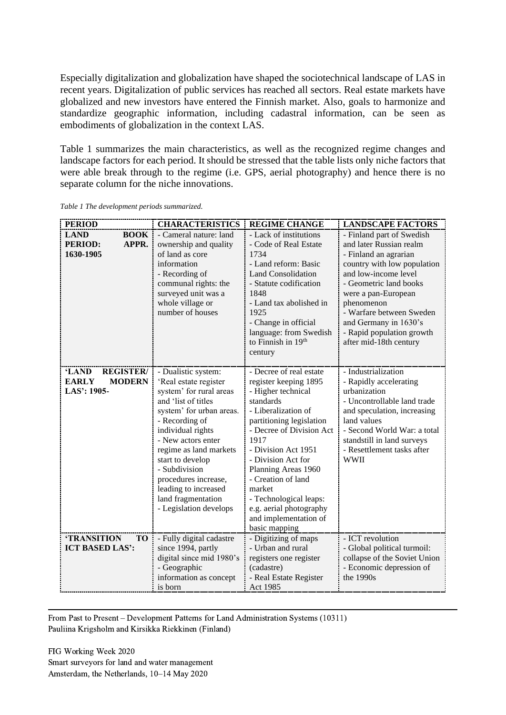Especially digitalization and globalization have shaped the sociotechnical landscape of LAS in recent years. Digitalization of public services has reached all sectors. Real estate markets have globalized and new investors have entered the Finnish market. Also, goals to harmonize and standardize geographic information, including cadastral information, can be seen as embodiments of globalization in the context LAS.

Table 1 summarizes the main characteristics, as well as the recognized regime changes and landscape factors for each period. It should be stressed that the table lists only niche factors that were able break through to the regime (i.e. GPS, aerial photography) and hence there is no separate column for the niche innovations.

| <b>PERIOD</b>                                                               | <b>CHARACTERISTICS</b>                                                                                                                                                                                                                                                                                                                                 | <b>REGIME CHANGE</b>                                                                                                                                                                                                                                                                                                                                                          | <b>LANDSCAPE FACTORS</b>                                                                                                                                                                                                                                                                                        |
|-----------------------------------------------------------------------------|--------------------------------------------------------------------------------------------------------------------------------------------------------------------------------------------------------------------------------------------------------------------------------------------------------------------------------------------------------|-------------------------------------------------------------------------------------------------------------------------------------------------------------------------------------------------------------------------------------------------------------------------------------------------------------------------------------------------------------------------------|-----------------------------------------------------------------------------------------------------------------------------------------------------------------------------------------------------------------------------------------------------------------------------------------------------------------|
| <b>BOOK</b><br><b>LAND</b><br>APPR.<br><b>PERIOD:</b><br>1630-1905          | - Cameral nature: land<br>ownership and quality<br>of land as core<br>information<br>- Recording of<br>communal rights: the<br>surveyed unit was a<br>whole village or<br>number of houses                                                                                                                                                             | - Lack of institutions<br>- Code of Real Estate<br>1734<br>- Land reform: Basic<br><b>Land Consolidation</b><br>- Statute codification<br>1848<br>- Land tax abolished in<br>1925<br>- Change in official<br>language: from Swedish<br>to Finnish in 19th<br>century                                                                                                          | - Finland part of Swedish<br>and later Russian realm<br>- Finland an agrarian<br>country with low population<br>and low-income level<br>- Geometric land books<br>were a pan-European<br>phenomenon<br>- Warfare between Sweden<br>and Germany in 1630's<br>- Rapid population growth<br>after mid-18th century |
| <b>REGISTER/</b><br>'LAND<br><b>EARLY</b><br><b>MODERN</b><br>$LAS$ : 1905- | - Dualistic system:<br>'Real estate register<br>system' for rural areas<br>and 'list of titles<br>system' for urban areas.<br>- Recording of<br>individual rights<br>- New actors enter<br>regime as land markets<br>start to develop<br>- Subdivision<br>procedures increase,<br>leading to increased<br>land fragmentation<br>- Legislation develops | - Decree of real estate<br>register keeping 1895<br>- Higher technical<br>standards<br>- Liberalization of<br>partitioning legislation<br>- Decree of Division Act<br>1917<br>- Division Act 1951<br>- Division Act for<br>Planning Areas 1960<br>- Creation of land<br>market<br>- Technological leaps:<br>e.g. aerial photography<br>and implementation of<br>basic mapping | - Industrialization<br>- Rapidly accelerating<br>urbanization<br>- Uncontrollable land trade<br>and speculation, increasing<br>land values<br>- Second World War: a total<br>standstill in land surveys<br>- Resettlement tasks after<br><b>WWII</b>                                                            |
| <b>'TRANSITION</b><br><b>TO</b><br><b>ICT BASED LAS':</b>                   | - Fully digital cadastre<br>since 1994, partly<br>digital since mid 1980's<br>- Geographic<br>information as concept<br>is born                                                                                                                                                                                                                        | - Digitizing of maps<br>- Urban and rural<br>registers one register<br>(cadastre)<br>- Real Estate Register<br>Act 1985                                                                                                                                                                                                                                                       | - ICT revolution<br>- Global political turmoil:<br>collapse of the Soviet Union<br>- Economic depression of<br>the 1990s                                                                                                                                                                                        |

*Table 1 The development periods summarized.*

From Past to Present – Development Patterns for Land Administration Systems (10311) Pauliina Krigsholm and Kirsikka Riekkinen (Finland)

FIG Working Week 2020 Smart surveyors for land and water management Amsterdam, the Netherlands, 10–14 May 2020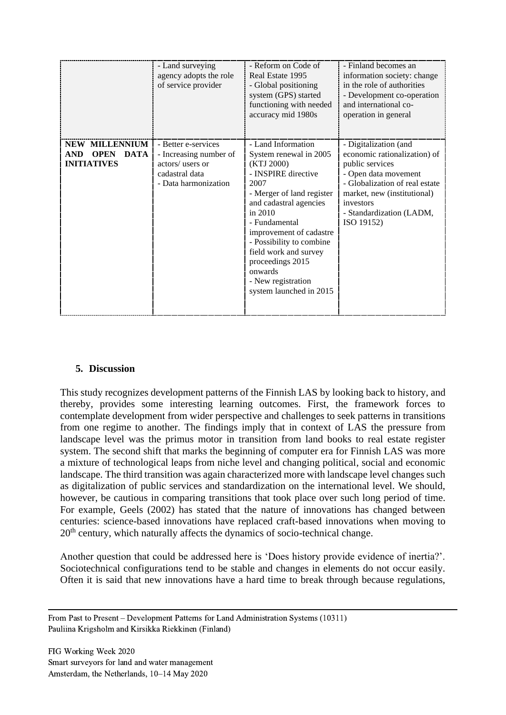|                                                                                         | - Land surveying<br>agency adopts the role<br>of service provider                                           | - Reform on Code of<br>Real Estate 1995<br>- Global positioning<br>system (GPS) started<br>functioning with needed<br>accuracy mid 1980s                                                                                                                                                                                                       | - Finland becomes an<br>information society: change<br>in the role of authorities<br>- Development co-operation<br>and international co-<br>operation in general                                                         |
|-----------------------------------------------------------------------------------------|-------------------------------------------------------------------------------------------------------------|------------------------------------------------------------------------------------------------------------------------------------------------------------------------------------------------------------------------------------------------------------------------------------------------------------------------------------------------|--------------------------------------------------------------------------------------------------------------------------------------------------------------------------------------------------------------------------|
| <b>NEW MILLENNIUM</b><br><b>AND</b><br><b>OPEN</b><br><b>DATA</b><br><b>INITIATIVES</b> | - Better e-services<br>- Increasing number of<br>actors/ users or<br>cadastral data<br>- Data harmonization | - Land Information<br>System renewal in 2005<br>(KTJ 2000)<br>- INSPIRE directive<br>2007<br>- Merger of land register<br>and cadastral agencies<br>in $2010$<br>- Fundamental<br>improvement of cadastre<br>- Possibility to combine<br>field work and survey<br>proceedings 2015<br>onwards<br>- New registration<br>system launched in 2015 | - Digitalization (and<br>economic rationalization) of<br>public services<br>- Open data movement<br>- Globalization of real estate<br>market, new (institutional)<br>investors<br>- Standardization (LADM,<br>ISO 19152) |

#### **5. Discussion**

This study recognizes development patterns of the Finnish LAS by looking back to history, and thereby, provides some interesting learning outcomes. First, the framework forces to contemplate development from wider perspective and challenges to seek patterns in transitions from one regime to another. The findings imply that in context of LAS the pressure from landscape level was the primus motor in transition from land books to real estate register system. The second shift that marks the beginning of computer era for Finnish LAS was more a mixture of technological leaps from niche level and changing political, social and economic landscape. The third transition was again characterized more with landscape level changes such as digitalization of public services and standardization on the international level. We should, however, be cautious in comparing transitions that took place over such long period of time. For example, Geels (2002) has stated that the nature of innovations has changed between centuries: science-based innovations have replaced craft-based innovations when moving to 20<sup>th</sup> century, which naturally affects the dynamics of socio-technical change.

Another question that could be addressed here is 'Does history provide evidence of inertia?'. Sociotechnical configurations tend to be stable and changes in elements do not occur easily. Often it is said that new innovations have a hard time to break through because regulations,

From Past to Present – Development Patterns for Land Administration Systems (10311) Pauliina Krigsholm and Kirsikka Riekkinen (Finland)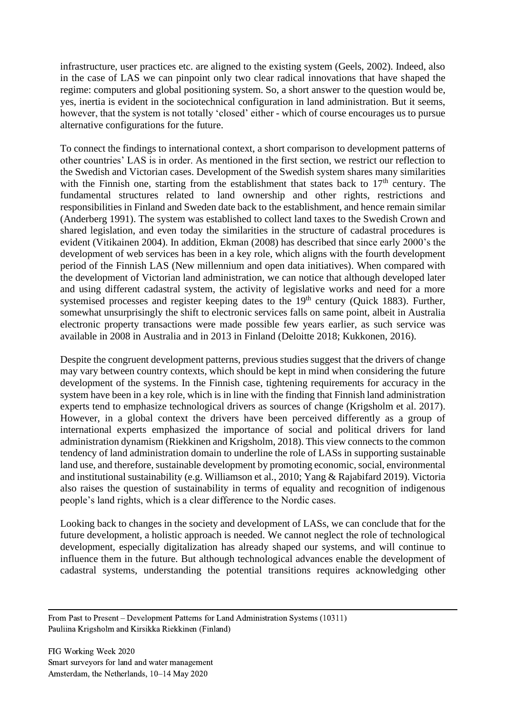infrastructure, user practices etc. are aligned to the existing system (Geels, 2002). Indeed, also in the case of LAS we can pinpoint only two clear radical innovations that have shaped the regime: computers and global positioning system. So, a short answer to the question would be, yes, inertia is evident in the sociotechnical configuration in land administration. But it seems, however, that the system is not totally 'closed' either - which of course encourages us to pursue alternative configurations for the future.

To connect the findings to international context, a short comparison to development patterns of other countries' LAS is in order. As mentioned in the first section, we restrict our reflection to the Swedish and Victorian cases. Development of the Swedish system shares many similarities with the Finnish one, starting from the establishment that states back to  $17<sup>th</sup>$  century. The fundamental structures related to land ownership and other rights, restrictions and responsibilities in Finland and Sweden date back to the establishment, and hence remain similar (Anderberg 1991). The system was established to collect land taxes to the Swedish Crown and shared legislation, and even today the similarities in the structure of cadastral procedures is evident (Vitikainen 2004). In addition, Ekman (2008) has described that since early 2000's the development of web services has been in a key role, which aligns with the fourth development period of the Finnish LAS (New millennium and open data initiatives). When compared with the development of Victorian land administration, we can notice that although developed later and using different cadastral system, the activity of legislative works and need for a more systemised processes and register keeping dates to the 19<sup>th</sup> century (Quick 1883). Further, somewhat unsurprisingly the shift to electronic services falls on same point, albeit in Australia electronic property transactions were made possible few years earlier, as such service was available in 2008 in Australia and in 2013 in Finland (Deloitte 2018; Kukkonen, 2016).

Despite the congruent development patterns, previous studies suggest that the drivers of change may vary between country contexts, which should be kept in mind when considering the future development of the systems. In the Finnish case, tightening requirements for accuracy in the system have been in a key role, which is in line with the finding that Finnish land administration experts tend to emphasize technological drivers as sources of change (Krigsholm et al. 2017). However, in a global context the drivers have been perceived differently as a group of international experts emphasized the importance of social and political drivers for land administration dynamism (Riekkinen and Krigsholm, 2018). This view connects to the common tendency of land administration domain to underline the role of LASs in supporting sustainable land use, and therefore, sustainable development by promoting economic, social, environmental and institutional sustainability (e.g. Williamson et al., 2010; Yang & Rajabifard 2019). Victoria also raises the question of sustainability in terms of equality and recognition of indigenous people's land rights, which is a clear difference to the Nordic cases.

Looking back to changes in the society and development of LASs, we can conclude that for the future development, a holistic approach is needed. We cannot neglect the role of technological development, especially digitalization has already shaped our systems, and will continue to influence them in the future. But although technological advances enable the development of cadastral systems, understanding the potential transitions requires acknowledging other

From Past to Present – Development Patterns for Land Administration Systems (10311) Pauliina Krigsholm and Kirsikka Riekkinen (Finland)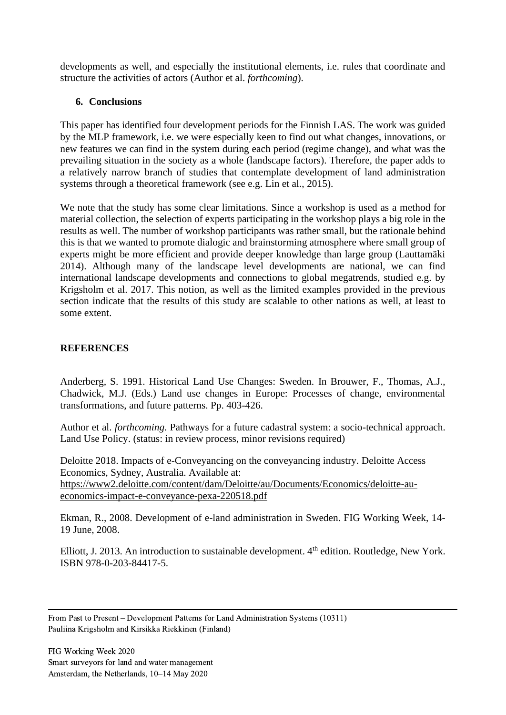developments as well, and especially the institutional elements, i.e. rules that coordinate and structure the activities of actors (Author et al. *forthcoming*).

# **6. Conclusions**

This paper has identified four development periods for the Finnish LAS. The work was guided by the MLP framework, i.e. we were especially keen to find out what changes, innovations, or new features we can find in the system during each period (regime change), and what was the prevailing situation in the society as a whole (landscape factors). Therefore, the paper adds to a relatively narrow branch of studies that contemplate development of land administration systems through a theoretical framework (see e.g. Lin et al., 2015).

We note that the study has some clear limitations. Since a workshop is used as a method for material collection, the selection of experts participating in the workshop plays a big role in the results as well. The number of workshop participants was rather small, but the rationale behind this is that we wanted to promote dialogic and brainstorming atmosphere where small group of experts might be more efficient and provide deeper knowledge than large group (Lauttamäki 2014). Although many of the landscape level developments are national, we can find international landscape developments and connections to global megatrends, studied e.g. by Krigsholm et al. 2017. This notion, as well as the limited examples provided in the previous section indicate that the results of this study are scalable to other nations as well, at least to some extent.

# **REFERENCES**

Anderberg, S. 1991. Historical Land Use Changes: Sweden. In Brouwer, F., Thomas, A.J., Chadwick, M.J. (Eds.) Land use changes in Europe: Processes of change, environmental transformations, and future patterns. Pp. 403-426.

Author et al. *forthcoming.* Pathways for a future cadastral system: a socio-technical approach. Land Use Policy. (status: in review process, minor revisions required)

Deloitte 2018. Impacts of e-Conveyancing on the conveyancing industry. Deloitte Access Economics, Sydney, Australia. Available at: [https://www2.deloitte.com/content/dam/Deloitte/au/Documents/Economics/deloitte-au](https://www2.deloitte.com/content/dam/Deloitte/au/Documents/Economics/deloitte-au-economics-impact-e-conveyance-pexa-220518.pdf)[economics-impact-e-conveyance-pexa-220518.pdf](https://www2.deloitte.com/content/dam/Deloitte/au/Documents/Economics/deloitte-au-economics-impact-e-conveyance-pexa-220518.pdf)

Ekman, R., 2008. Development of e-land administration in Sweden. FIG Working Week, 14- 19 June, 2008.

Elliott, J. 2013. An introduction to sustainable development. 4<sup>th</sup> edition. Routledge, New York. ISBN 978-0-203-84417-5.

From Past to Present – Development Patterns for Land Administration Systems (10311) Pauliina Krigsholm and Kirsikka Riekkinen (Finland)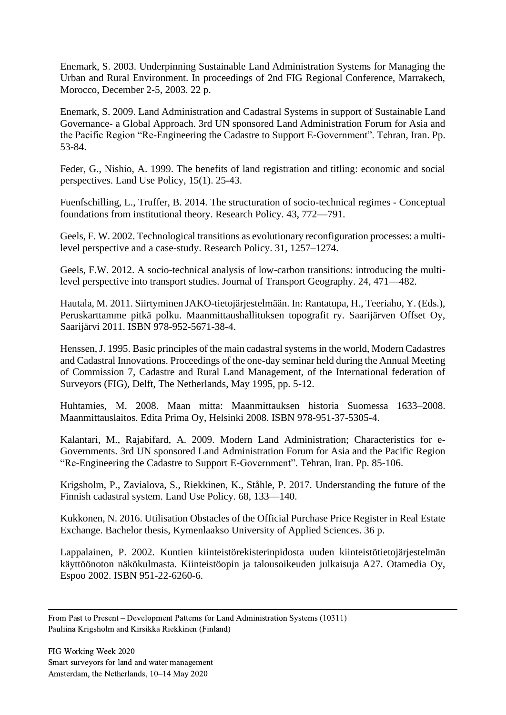Enemark, S. 2003. Underpinning Sustainable Land Administration Systems for Managing the Urban and Rural Environment. In proceedings of 2nd FIG Regional Conference, Marrakech, Morocco, December 2-5, 2003. 22 p.

Enemark, S. 2009. Land Administration and Cadastral Systems in support of Sustainable Land Governance- a Global Approach. 3rd UN sponsored Land Administration Forum for Asia and the Pacific Region "Re-Engineering the Cadastre to Support E-Government". Tehran, Iran. Pp. 53-84.

Feder, G., Nishio, A. 1999. The benefits of land registration and titling: economic and social perspectives. Land Use Policy, 15(1). 25-43.

Fuenfschilling, L., Truffer, B. 2014. The structuration of socio-technical regimes - Conceptual foundations from institutional theory. Research Policy. 43, 772—791.

Geels, F. W. 2002. Technological transitions as evolutionary reconfiguration processes: a multilevel perspective and a case-study. Research Policy. 31, 1257–1274.

Geels, F.W. 2012. A socio-technical analysis of low-carbon transitions: introducing the multilevel perspective into transport studies. Journal of Transport Geography. 24, 471—482.

Hautala, M. 2011. Siirtyminen JAKO-tietojärjestelmään. In: Rantatupa, H., Teeriaho, Y. (Eds.), Peruskarttamme pitkä polku. Maanmittaushallituksen topografit ry. Saarijärven Offset Oy, Saarijärvi 2011. ISBN 978-952-5671-38-4.

Henssen, J. 1995. Basic principles of the main cadastral systems in the world, Modern Cadastres and Cadastral Innovations. Proceedings of the one-day seminar held during the Annual Meeting of Commission 7, Cadastre and Rural Land Management, of the International federation of Surveyors (FIG), Delft, The Netherlands, May 1995, pp. 5-12.

Huhtamies, M. 2008. Maan mitta: Maanmittauksen historia Suomessa 1633–2008. Maanmittauslaitos. Edita Prima Oy, Helsinki 2008. ISBN 978-951-37-5305-4.

Kalantari, M., Rajabifard, A. 2009. Modern Land Administration; Characteristics for e-Governments. 3rd UN sponsored Land Administration Forum for Asia and the Pacific Region "Re-Engineering the Cadastre to Support E-Government". Tehran, Iran. Pp. 85-106.

Krigsholm, P., Zavialova, S., Riekkinen, K., Ståhle, P. 2017. Understanding the future of the Finnish cadastral system. Land Use Policy. 68, 133—140.

Kukkonen, N. 2016. Utilisation Obstacles of the Official Purchase Price Register in Real Estate Exchange. Bachelor thesis, Kymenlaakso University of Applied Sciences. 36 p.

Lappalainen, P. 2002. Kuntien kiinteistörekisterinpidosta uuden kiinteistötietojärjestelmän käyttöönoton näkökulmasta. Kiinteistöopin ja talousoikeuden julkaisuja A27. Otamedia Oy, Espoo 2002. ISBN 951-22-6260-6.

From Past to Present – Development Patterns for Land Administration Systems (10311) Pauliina Krigsholm and Kirsikka Riekkinen (Finland)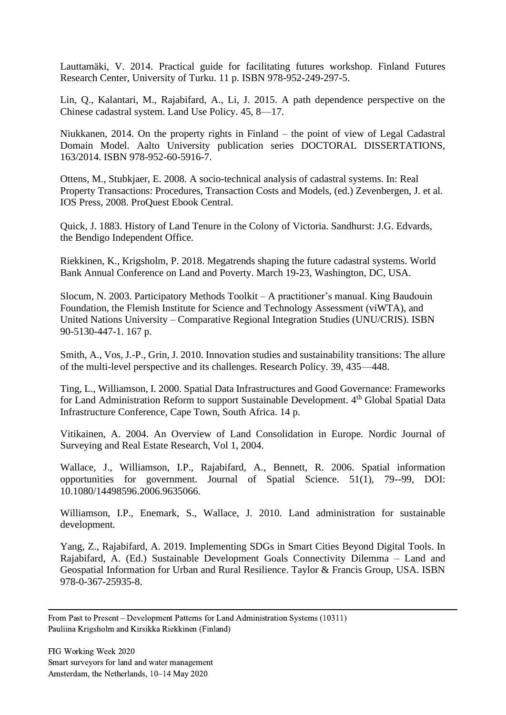Lauttamäki, V. 2014. Practical guide for facilitating futures workshop. Finland Futures Research Center, University of Turku. 11 p. ISBN 978-952-249-297-5.

Lin, Q., Kalantari, M., Rajabifard, A., Li, J. 2015. A path dependence perspective on the Chinese cadastral system. Land Use Policy. 45, 8—17.

Niukkanen, 2014. On the property rights in Finland – the point of view of Legal Cadastral Domain Model. Aalto University publication series DOCTORAL DISSERTATIONS, 163/2014. ISBN 978-952-60-5916-7.

Ottens, M., Stubkjaer, E. 2008. A socio-technical analysis of cadastral systems. In: Real Property Transactions: Procedures, Transaction Costs and Models, (ed.) Zevenbergen, J. et al. IOS Press, 2008. ProQuest Ebook Central.

Quick, J. 1883. History of Land Tenure in the Colony of Victoria. Sandhurst: J.G. Edvards, the Bendigo Independent Office.

Riekkinen, K., Krigsholm, P. 2018. Megatrends shaping the future cadastral systems. World Bank Annual Conference on Land and Poverty. March 19-23, Washington, DC, USA.

Slocum, N. 2003. Participatory Methods Toolkit – A practitioner's manual. King Baudouin Foundation, the Flemish Institute for Science and Technology Assessment (viWTA), and United Nations University – Comparative Regional Integration Studies (UNU/CRIS). ISBN 90-5130-447-1. 167 p.

Smith, A., Vos, J.-P., Grin, J. 2010. Innovation studies and sustainability transitions: The allure of the multi-level perspective and its challenges. Research Policy. 39, 435—448.

Ting, L., Williamson, I. 2000. Spatial Data Infrastructures and Good Governance: Frameworks for Land Administration Reform to support Sustainable Development. 4<sup>th</sup> Global Spatial Data Infrastructure Conference, Cape Town, South Africa. 14 p.

Vitikainen, A. 2004. An Overview of Land Consolidation in Europe. Nordic Journal of Surveying and Real Estate Research, Vol 1, 2004.

Wallace, J., Williamson, I.P., Rajabifard, A., Bennett, R. 2006. Spatial information opportunities for government. Journal of Spatial Science. 51(1), 79--99, DOI: 10.1080/14498596.2006.9635066.

Williamson, I.P., Enemark, S., Wallace, J. 2010. Land administration for sustainable development.

Yang, Z., Rajabifard, A. 2019. Implementing SDGs in Smart Cities Beyond Digital Tools. In Rajabifard, A. (Ed.) Sustainable Development Goals Connectivity Dilemma – Land and Geospatial Information for Urban and Rural Resilience. Taylor & Francis Group, USA. ISBN 978-0-367-25935-8.

From Past to Present – Development Patterns for Land Administration Systems (10311) Pauliina Krigsholm and Kirsikka Riekkinen (Finland)